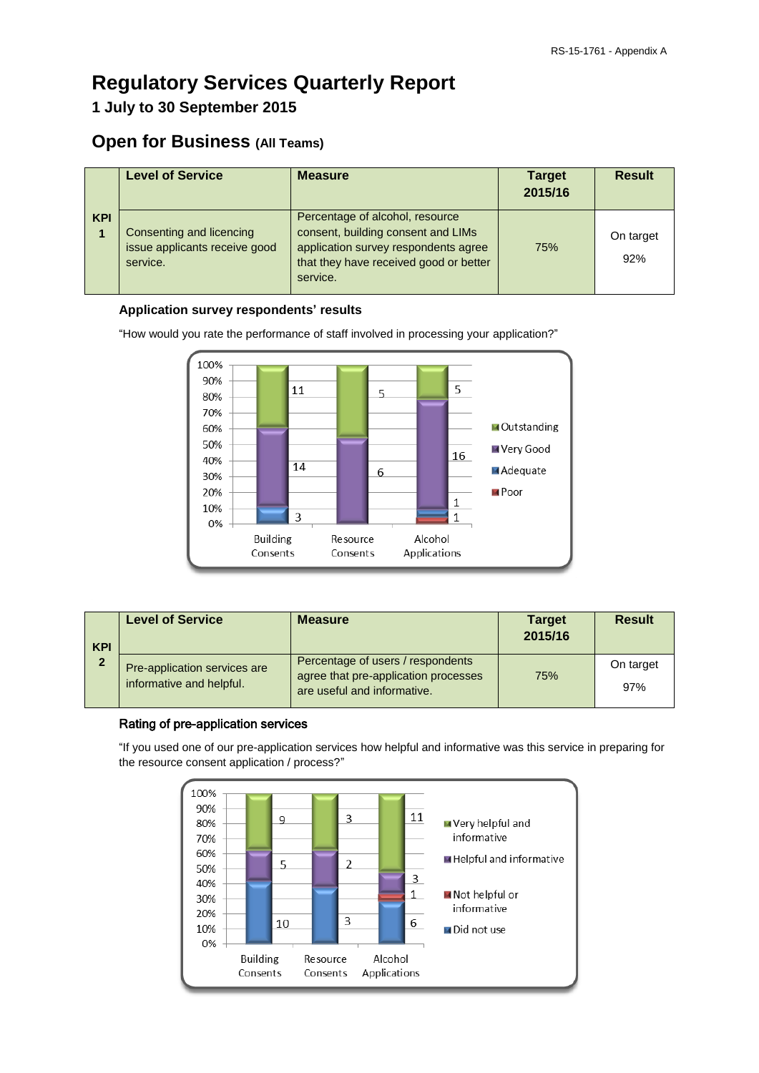# **Regulatory Services Quarterly Report**

# **1 July to 30 September 2015**

# **Open for Business (All Teams)**

|            | <b>Level of Service</b>                                               | <b>Measure</b>                                                                                                                                                      | <b>Target</b><br>2015/16 | <b>Result</b>    |
|------------|-----------------------------------------------------------------------|---------------------------------------------------------------------------------------------------------------------------------------------------------------------|--------------------------|------------------|
| <b>KPI</b> | Consenting and licencing<br>issue applicants receive good<br>service. | Percentage of alcohol, resource<br>consent, building consent and LIMs<br>application survey respondents agree<br>that they have received good or better<br>service. | 75%                      | On target<br>92% |

### **Application survey respondents' results**

"How would you rate the performance of staff involved in processing your application?"



| <b>KPI</b>     | <b>Level of Service</b>                                  | <b>Measure</b>                                                                                           | <b>Target</b><br>2015/16 | <b>Result</b>    |
|----------------|----------------------------------------------------------|----------------------------------------------------------------------------------------------------------|--------------------------|------------------|
| $\overline{2}$ | Pre-application services are<br>informative and helpful. | Percentage of users / respondents<br>agree that pre-application processes<br>are useful and informative. | 75%                      | On target<br>97% |

## Rating of pre-application services

"If you used one of our pre-application services how helpful and informative was this service in preparing for the resource consent application / process?"

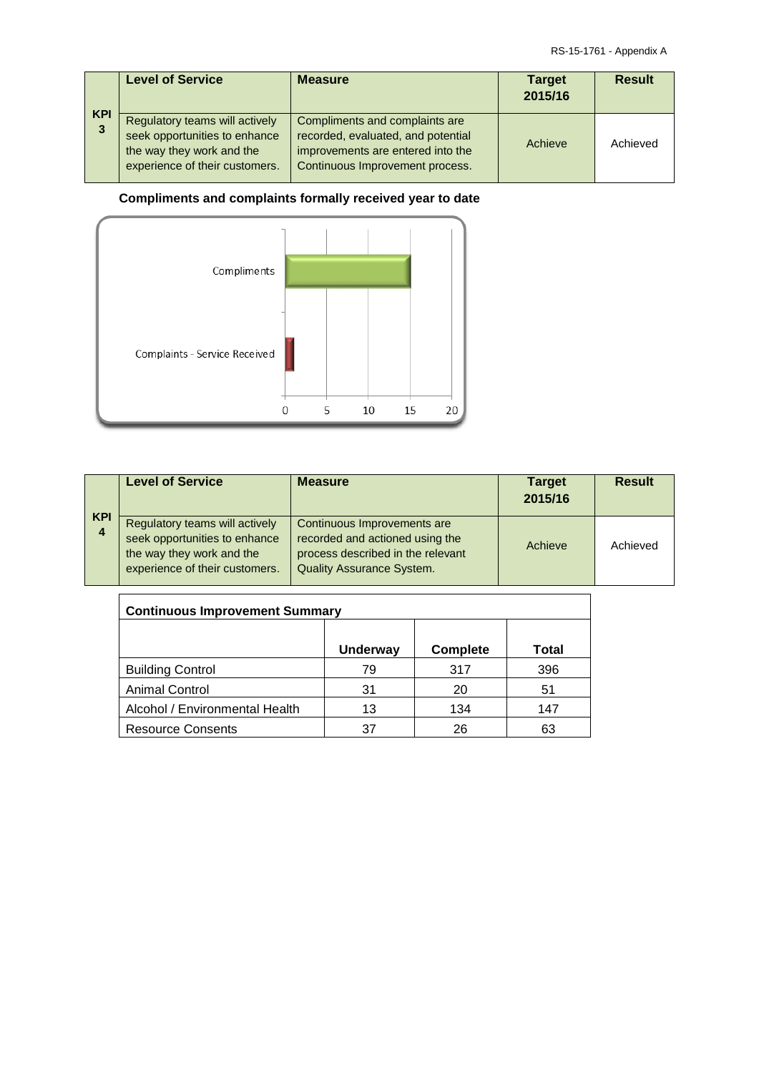| <b>KPI</b> | <b>Level of Service</b>                                                                                                        | <b>Measure</b>                                                                                                                               | <b>Target</b><br>2015/16 | <b>Result</b> |
|------------|--------------------------------------------------------------------------------------------------------------------------------|----------------------------------------------------------------------------------------------------------------------------------------------|--------------------------|---------------|
| 3          | Regulatory teams will actively<br>seek opportunities to enhance<br>the way they work and the<br>experience of their customers. | Compliments and complaints are<br>recorded, evaluated, and potential<br>improvements are entered into the<br>Continuous Improvement process. | Achieve                  | Achieved      |

## **Compliments and complaints formally received year to date**



| <b>KPI</b> | <b>Level of Service</b>                                                                                                        | <b>Measure</b>                                                                                                                          | <b>Target</b><br>2015/16 | <b>Result</b> |
|------------|--------------------------------------------------------------------------------------------------------------------------------|-----------------------------------------------------------------------------------------------------------------------------------------|--------------------------|---------------|
| 4          | Regulatory teams will actively<br>seek opportunities to enhance<br>the way they work and the<br>experience of their customers. | Continuous Improvements are<br>recorded and actioned using the<br>process described in the relevant<br><b>Quality Assurance System.</b> | Achieve                  | Achieved      |

| <b>Continuous Improvement Summary</b> |                 |          |       |  |
|---------------------------------------|-----------------|----------|-------|--|
|                                       | <b>Underway</b> | Complete | Total |  |
| <b>Building Control</b>               | 79              | 317      | 396   |  |
| <b>Animal Control</b>                 | 31              | 20       | 51    |  |
| Alcohol / Environmental Health        | 13              | 134      | 147   |  |
| <b>Resource Consents</b>              | 37              | 26       | 63    |  |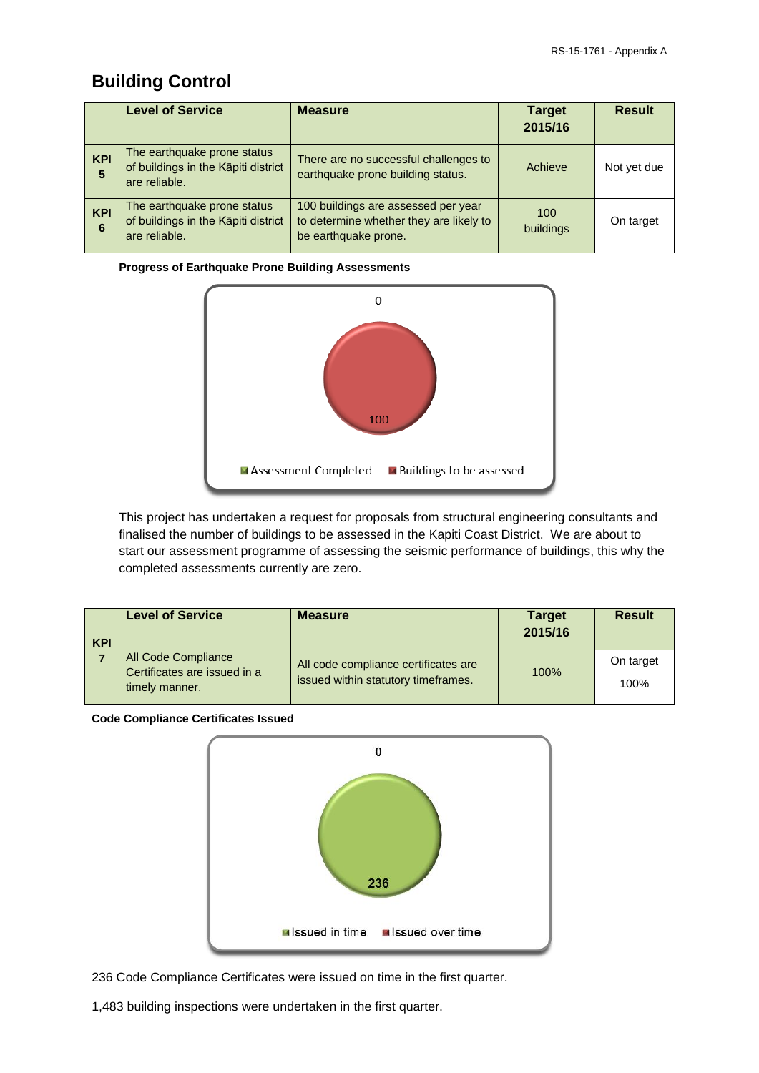# **Building Control**

|                 | <b>Level of Service</b>                                                             | <b>Measure</b>                                                                                         | <b>Target</b><br>2015/16 | <b>Result</b> |
|-----------------|-------------------------------------------------------------------------------------|--------------------------------------------------------------------------------------------------------|--------------------------|---------------|
| <b>KPI</b><br>5 | The earthquake prone status<br>of buildings in the Kāpiti district<br>are reliable. | There are no successful challenges to<br>earthquake prone building status.                             | Achieve                  | Not yet due   |
| <b>KPI</b><br>6 | The earthquake prone status<br>of buildings in the Kāpiti district<br>are reliable. | 100 buildings are assessed per year<br>to determine whether they are likely to<br>be earthquake prone. | 100<br>buildings         | On target     |

#### **Progress of Earthquake Prone Building Assessments**



This project has undertaken a request for proposals from structural engineering consultants and finalised the number of buildings to be assessed in the Kapiti Coast District. We are about to start our assessment programme of assessing the seismic performance of buildings, this why the completed assessments currently are zero.

| <b>KPI</b> | <b>Level of Service</b>                                               | <b>Measure</b>                                                              | <b>Target</b><br>2015/16 | <b>Result</b>     |
|------------|-----------------------------------------------------------------------|-----------------------------------------------------------------------------|--------------------------|-------------------|
|            | All Code Compliance<br>Certificates are issued in a<br>timely manner. | All code compliance certificates are<br>issued within statutory timeframes. | 100%                     | On target<br>100% |

#### **Code Compliance Certificates Issued**



236 Code Compliance Certificates were issued on time in the first quarter.

1,483 building inspections were undertaken in the first quarter.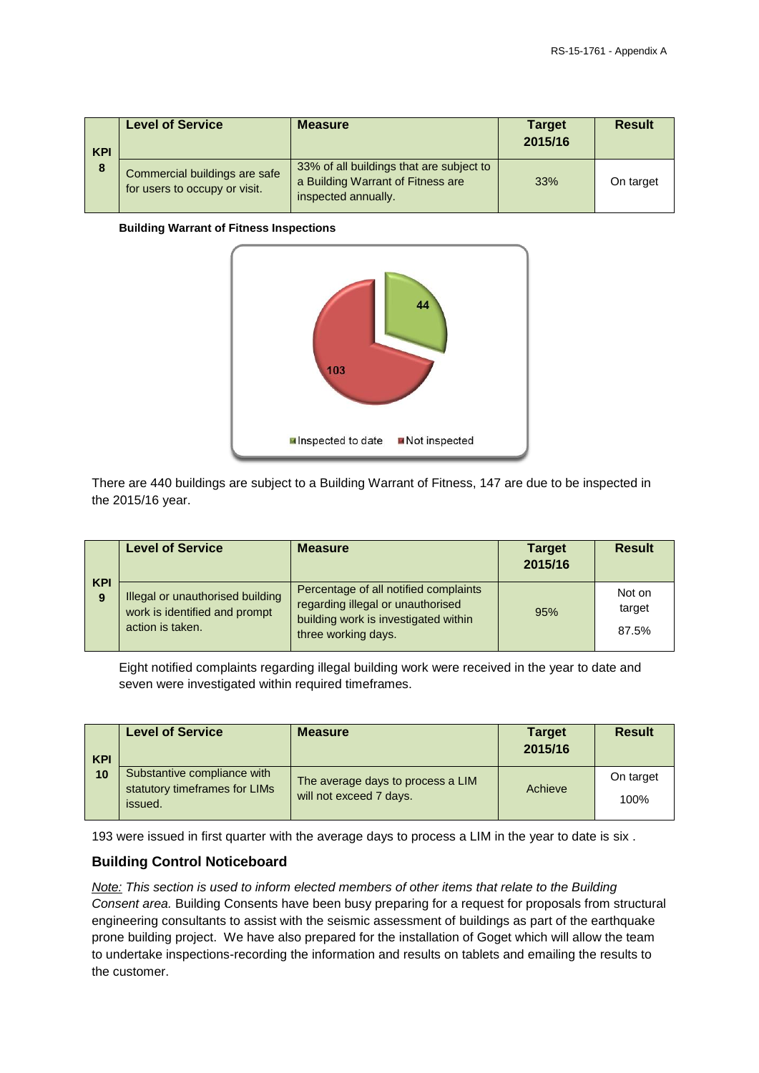| <b>KPI</b> | <b>Level of Service</b>                                        | <b>Measure</b>                                                                                       | <b>Target</b><br>2015/16 | <b>Result</b> |
|------------|----------------------------------------------------------------|------------------------------------------------------------------------------------------------------|--------------------------|---------------|
| 8          | Commercial buildings are safe<br>for users to occupy or visit. | 33% of all buildings that are subject to<br>a Building Warrant of Fitness are<br>inspected annually. | 33%                      | On target     |

#### **Building Warrant of Fitness Inspections**



There are 440 buildings are subject to a Building Warrant of Fitness, 147 are due to be inspected in the 2015/16 year.

| <b>KPI</b> | <b>Level of Service</b>                                                               | <b>Measure</b>                                                                                                                            | <b>Target</b><br>2015/16 | <b>Result</b>             |
|------------|---------------------------------------------------------------------------------------|-------------------------------------------------------------------------------------------------------------------------------------------|--------------------------|---------------------------|
| 9          | Illegal or unauthorised building<br>work is identified and prompt<br>action is taken. | Percentage of all notified complaints<br>regarding illegal or unauthorised<br>building work is investigated within<br>three working days. | 95%                      | Not on<br>target<br>87.5% |

Eight notified complaints regarding illegal building work were received in the year to date and seven were investigated within required timeframes.

| <b>KPI</b> | <b>Level of Service</b>                                                 | <b>Measure</b>                                               | <b>Target</b><br>2015/16 | <b>Result</b>     |
|------------|-------------------------------------------------------------------------|--------------------------------------------------------------|--------------------------|-------------------|
| 10         | Substantive compliance with<br>statutory timeframes for LIMs<br>issued. | The average days to process a LIM<br>will not exceed 7 days. | Achieve                  | On target<br>100% |

193 were issued in first quarter with the average days to process a LIM in the year to date is six .

### **Building Control Noticeboard**

*Note: This section is used to inform elected members of other items that relate to the Building Consent area.* Building Consents have been busy preparing for a request for proposals from structural engineering consultants to assist with the seismic assessment of buildings as part of the earthquake prone building project. We have also prepared for the installation of Goget which will allow the team to undertake inspections-recording the information and results on tablets and emailing the results to the customer.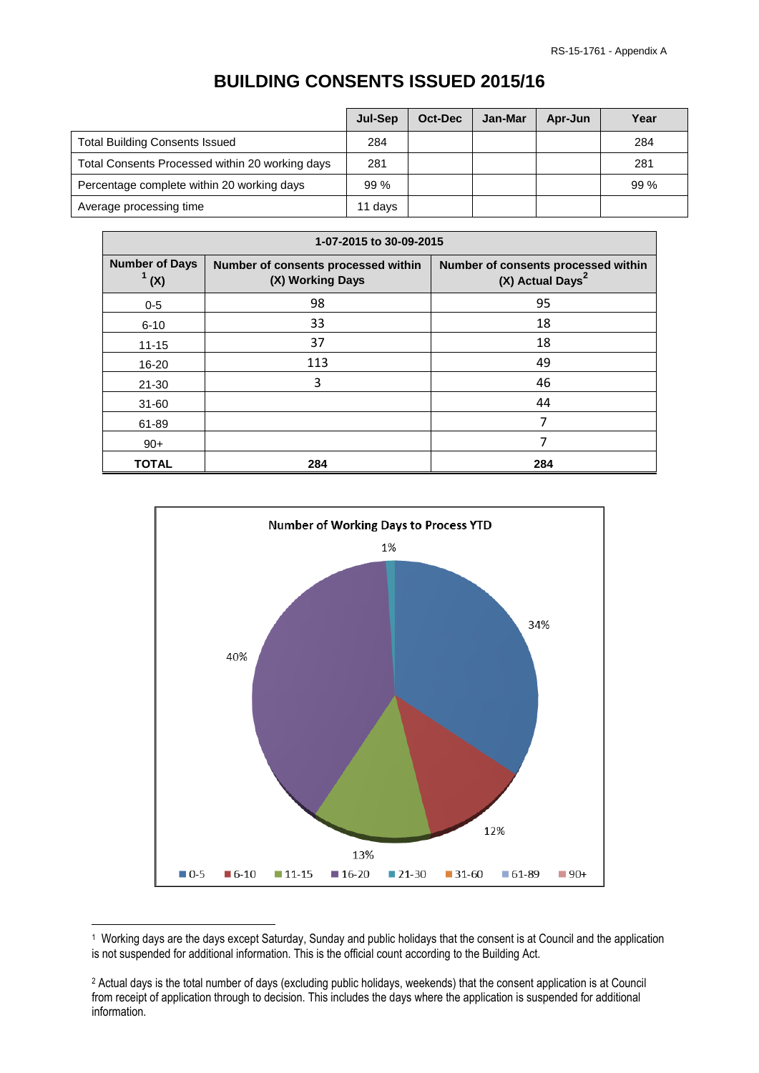# **BUILDING CONSENTS ISSUED 2015/16**

|                                                 | Jul-Sep | Oct-Dec | Jan-Mar | Apr-Jun | Year |
|-------------------------------------------------|---------|---------|---------|---------|------|
| <b>Total Building Consents Issued</b>           | 284     |         |         |         | 284  |
| Total Consents Processed within 20 working days | 281     |         |         |         | 281  |
| Percentage complete within 20 working days      | 99%     |         |         |         | 99%  |
| Average processing time                         | 11 days |         |         |         |      |

| 1-07-2015 to 30-09-2015         |                                                         |                                                                     |  |  |
|---------------------------------|---------------------------------------------------------|---------------------------------------------------------------------|--|--|
| <b>Number of Days</b><br>(1)(x) | Number of consents processed within<br>(X) Working Days | Number of consents processed within<br>(X) Actual Days <sup>2</sup> |  |  |
| $0 - 5$                         | 98                                                      | 95                                                                  |  |  |
| $6 - 10$                        | 33                                                      | 18                                                                  |  |  |
| $11 - 15$                       | 37                                                      | 18                                                                  |  |  |
| 16-20                           | 113                                                     | 49                                                                  |  |  |
| $21 - 30$                       | 3                                                       | 46                                                                  |  |  |
| $31 - 60$                       |                                                         | 44                                                                  |  |  |
| 61-89                           |                                                         | 7                                                                   |  |  |
| $90+$                           |                                                         | 7                                                                   |  |  |
| <b>TOTAL</b>                    | 284                                                     | 284                                                                 |  |  |



<sup>1</sup> 1 Working days are the days except Saturday, Sunday and public holidays that the consent is at Council and the application is not suspended for additional information. This is the official count according to the Building Act.

<sup>2</sup> Actual days is the total number of days (excluding public holidays, weekends) that the consent application is at Council from receipt of application through to decision. This includes the days where the application is suspended for additional information.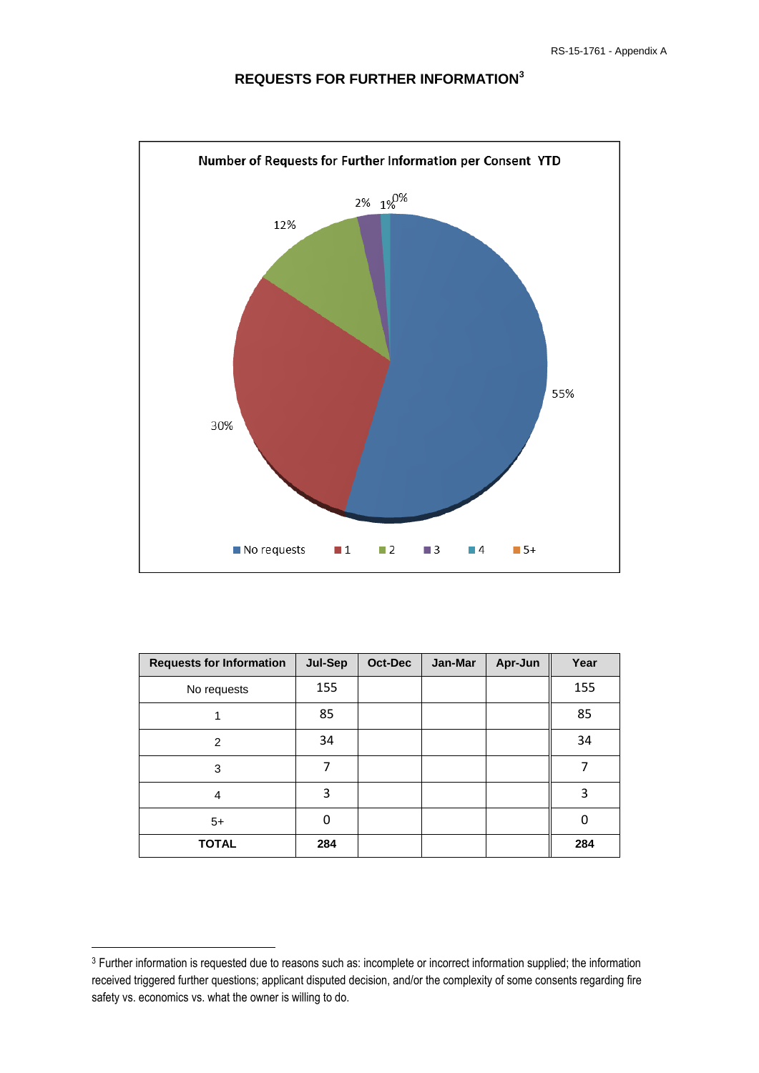

## **REQUESTS FOR FURTHER INFORMATION<sup>3</sup>**

| <b>Requests for Information</b> | Jul-Sep | Oct-Dec | Jan-Mar | Apr-Jun | Year |
|---------------------------------|---------|---------|---------|---------|------|
| No requests                     | 155     |         |         |         | 155  |
|                                 | 85      |         |         |         | 85   |
| $\overline{2}$                  | 34      |         |         |         | 34   |
| 3                               | 7       |         |         |         | 7    |
| 4                               | 3       |         |         |         | 3    |
| $5+$                            | 0       |         |         |         | 0    |
| <b>TOTAL</b>                    | 284     |         |         |         | 284  |

**.** 

<sup>&</sup>lt;sup>3</sup> Further information is requested due to reasons such as: incomplete or incorrect information supplied; the information received triggered further questions; applicant disputed decision, and/or the complexity of some consents regarding fire safety vs. economics vs. what the owner is willing to do.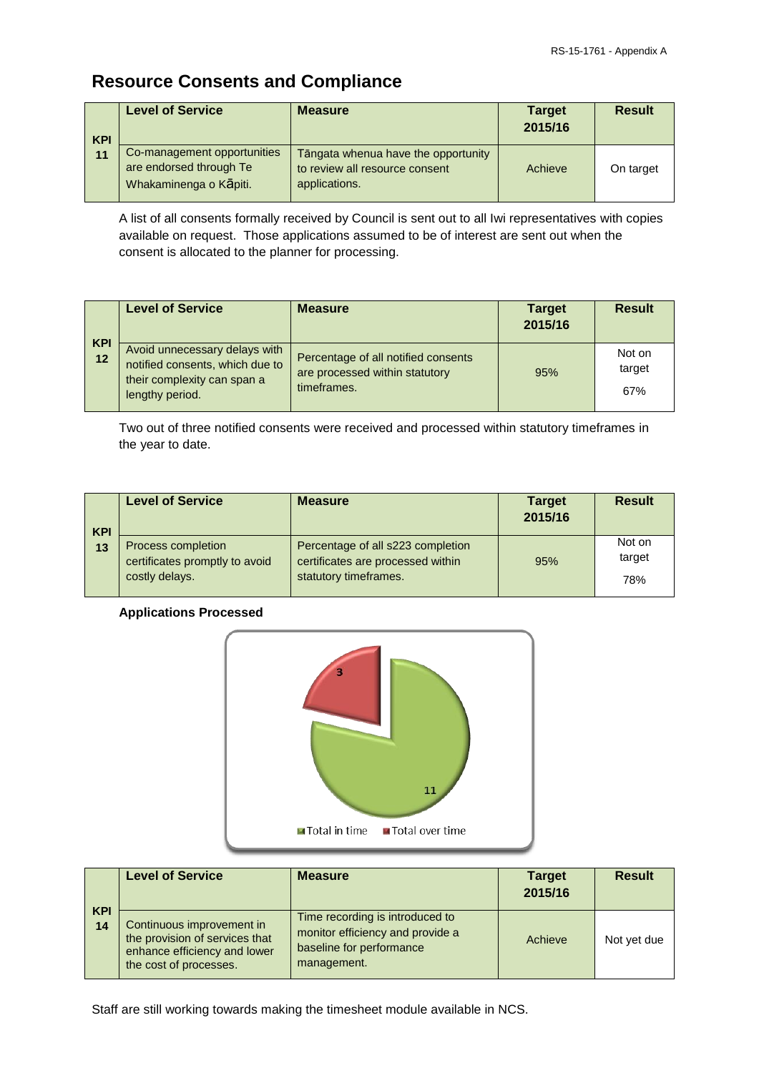# **Resource Consents and Compliance**

| <b>KPI</b> | <b>Level of Service</b>                                                          | <b>Measure</b>                                                                         | <b>Target</b><br>2015/16 | <b>Result</b> |
|------------|----------------------------------------------------------------------------------|----------------------------------------------------------------------------------------|--------------------------|---------------|
| 11         | Co-management opportunities<br>are endorsed through Te<br>Whakaminenga o Kāpiti. | Tāngata whenua have the opportunity<br>to review all resource consent<br>applications. | Achieve                  | On target     |

A list of all consents formally received by Council is sent out to all Iwi representatives with copies available on request. Those applications assumed to be of interest are sent out when the consent is allocated to the planner for processing.

| <b>KPI</b> | <b>Level of Service</b>                                                                                            | <b>Measure</b>                                                                       | <b>Target</b><br>2015/16 | <b>Result</b>           |
|------------|--------------------------------------------------------------------------------------------------------------------|--------------------------------------------------------------------------------------|--------------------------|-------------------------|
| 12         | Avoid unnecessary delays with<br>notified consents, which due to<br>their complexity can span a<br>lengthy period. | Percentage of all notified consents<br>are processed within statutory<br>timeframes. | 95%                      | Not on<br>target<br>67% |

Two out of three notified consents were received and processed within statutory timeframes in the year to date.

| <b>KPI</b> | <b>Level of Service</b>                                                | <b>Measure</b>                                                                                  | <b>Target</b><br>2015/16 | <b>Result</b>           |
|------------|------------------------------------------------------------------------|-------------------------------------------------------------------------------------------------|--------------------------|-------------------------|
| 13         | Process completion<br>certificates promptly to avoid<br>costly delays. | Percentage of all s223 completion<br>certificates are processed within<br>statutory timeframes. | 95%                      | Not on<br>target<br>78% |

### **Applications Processed**



|                  | <b>Level of Service</b>                                                                                               | <b>Measure</b>                                                                                                 | <b>Target</b><br>2015/16 | <b>Result</b> |
|------------------|-----------------------------------------------------------------------------------------------------------------------|----------------------------------------------------------------------------------------------------------------|--------------------------|---------------|
| <b>KPI</b><br>14 | Continuous improvement in<br>the provision of services that<br>enhance efficiency and lower<br>the cost of processes. | Time recording is introduced to<br>monitor efficiency and provide a<br>baseline for performance<br>management. | Achieve                  | Not yet due   |

Staff are still working towards making the timesheet module available in NCS.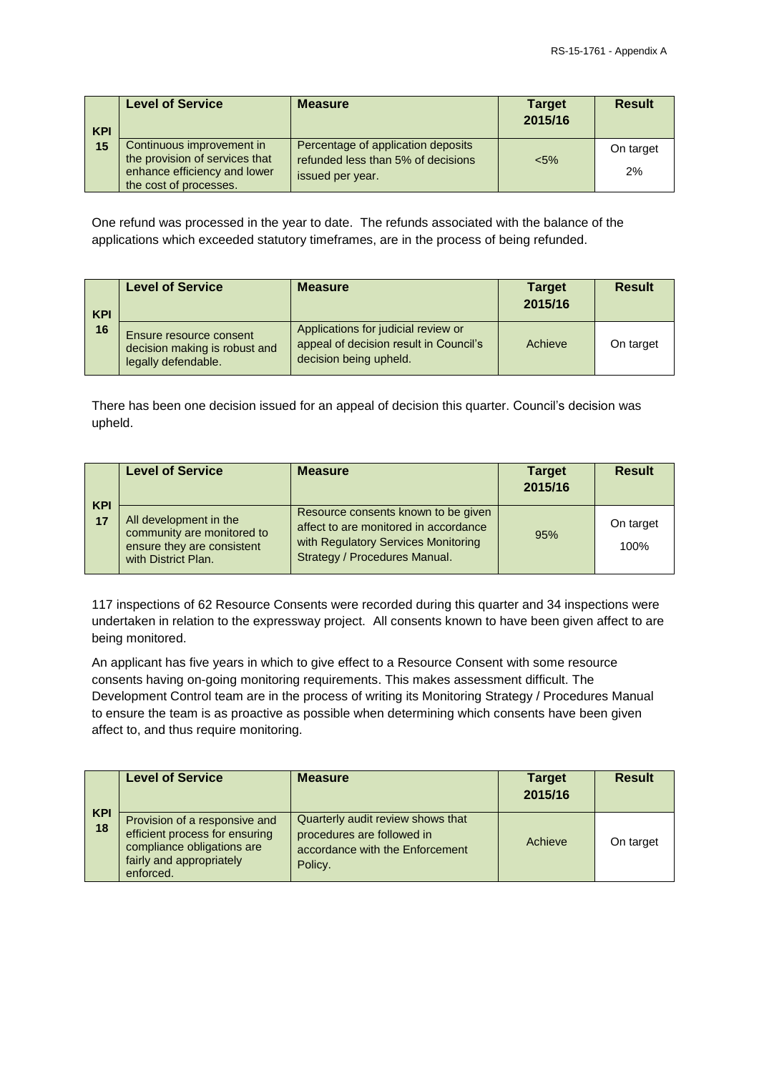| <b>KPI</b> | <b>Level of Service</b>                                                                                               | <b>Measure</b>                                                                               | <b>Target</b><br>2015/16 | <b>Result</b>   |
|------------|-----------------------------------------------------------------------------------------------------------------------|----------------------------------------------------------------------------------------------|--------------------------|-----------------|
| 15         | Continuous improvement in<br>the provision of services that<br>enhance efficiency and lower<br>the cost of processes. | Percentage of application deposits<br>refunded less than 5% of decisions<br>issued per year. | $5\%$                    | On target<br>2% |

One refund was processed in the year to date. The refunds associated with the balance of the applications which exceeded statutory timeframes, are in the process of being refunded.

| <b>KPI</b><br>16 | <b>Level of Service</b>                                                         | <b>Measure</b>                                                                                          | <b>Target</b><br>2015/16 | <b>Result</b> |
|------------------|---------------------------------------------------------------------------------|---------------------------------------------------------------------------------------------------------|--------------------------|---------------|
|                  | Ensure resource consent<br>decision making is robust and<br>legally defendable. | Applications for judicial review or<br>appeal of decision result in Council's<br>decision being upheld. | Achieve                  | On target     |

There has been one decision issued for an appeal of decision this quarter. Council's decision was upheld.

|                  | <b>Level of Service</b>                                                                                   | <b>Measure</b>                                                                                                                                       | <b>Target</b><br>2015/16 | <b>Result</b>     |
|------------------|-----------------------------------------------------------------------------------------------------------|------------------------------------------------------------------------------------------------------------------------------------------------------|--------------------------|-------------------|
| <b>KPI</b><br>17 | All development in the<br>community are monitored to<br>ensure they are consistent<br>with District Plan. | Resource consents known to be given<br>affect to are monitored in accordance<br>with Regulatory Services Monitoring<br>Strategy / Procedures Manual. | 95%                      | On target<br>100% |

117 inspections of 62 Resource Consents were recorded during this quarter and 34 inspections were undertaken in relation to the expressway project. All consents known to have been given affect to are being monitored.

An applicant has five years in which to give effect to a Resource Consent with some resource consents having on-going monitoring requirements. This makes assessment difficult. The Development Control team are in the process of writing its Monitoring Strategy / Procedures Manual to ensure the team is as proactive as possible when determining which consents have been given affect to, and thus require monitoring.

|                  | <b>Level of Service</b>                                                                                                                | <b>Measure</b>                                                                                                | <b>Target</b><br>2015/16 | <b>Result</b> |
|------------------|----------------------------------------------------------------------------------------------------------------------------------------|---------------------------------------------------------------------------------------------------------------|--------------------------|---------------|
| <b>KPI</b><br>18 | Provision of a responsive and<br>efficient process for ensuring<br>compliance obligations are<br>fairly and appropriately<br>enforced. | Quarterly audit review shows that<br>procedures are followed in<br>accordance with the Enforcement<br>Policy. | Achieve                  | On target     |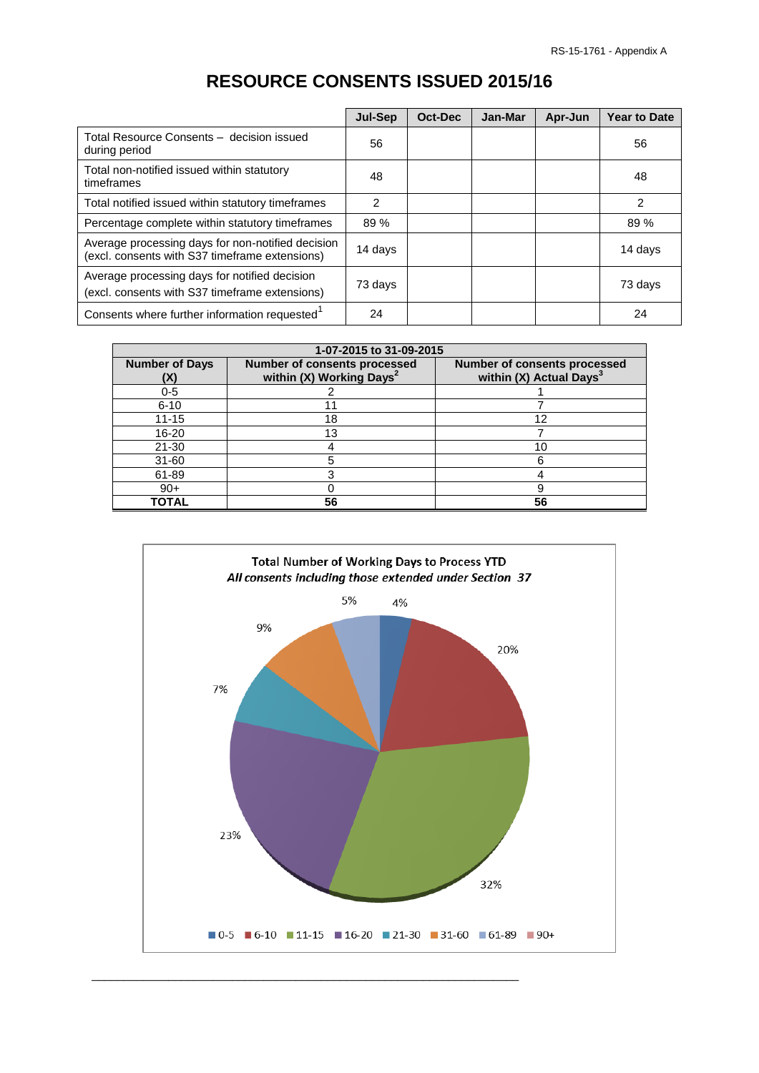|                                                                                                     | <b>Jul-Sep</b> | Oct-Dec | Jan-Mar | Apr-Jun | <b>Year to Date</b> |
|-----------------------------------------------------------------------------------------------------|----------------|---------|---------|---------|---------------------|
| Total Resource Consents - decision issued<br>during period                                          | 56             |         |         |         | 56                  |
| Total non-notified issued within statutory<br>timeframes                                            | 48             |         |         |         | 48                  |
| Total notified issued within statutory timeframes                                                   | 2              |         |         |         | $\overline{2}$      |
| Percentage complete within statutory timeframes                                                     | 89 %           |         |         |         | 89%                 |
| Average processing days for non-notified decision<br>(excl. consents with S37 timeframe extensions) | 14 days        |         |         |         | 14 days             |
| Average processing days for notified decision<br>(excl. consents with S37 timeframe extensions)     | 73 days        |         |         |         | 73 days             |
| Consents where further information requested <sup>1</sup>                                           | 24             |         |         |         | 24                  |

# **RESOURCE CONSENTS ISSUED 2015/16**

|                             | 1-07-2015 to 31-09-2015                                                     |                                                                            |  |  |
|-----------------------------|-----------------------------------------------------------------------------|----------------------------------------------------------------------------|--|--|
| <b>Number of Days</b><br>X) | <b>Number of consents processed</b><br>within (X) Working Days <sup>2</sup> | <b>Number of consents processed</b><br>within (X) Actual Days <sup>3</sup> |  |  |
| $0 - 5$                     |                                                                             |                                                                            |  |  |
| $6 - 10$                    |                                                                             |                                                                            |  |  |
| $11 - 15$                   | 18                                                                          | 12                                                                         |  |  |
| $16 - 20$                   | 13                                                                          |                                                                            |  |  |
| $21 - 30$                   |                                                                             | 10                                                                         |  |  |
| $31 - 60$                   |                                                                             | 6                                                                          |  |  |
| 61-89                       |                                                                             |                                                                            |  |  |
| $90+$                       |                                                                             |                                                                            |  |  |
| TOTAL                       | 56                                                                          | 56                                                                         |  |  |

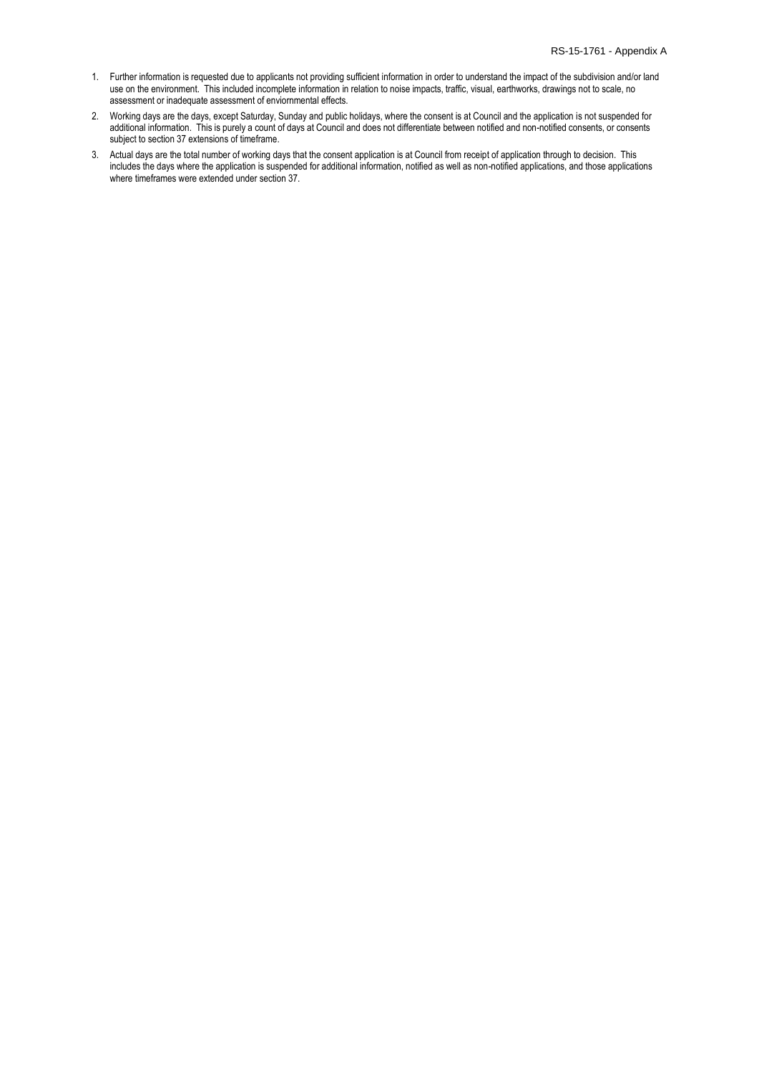- 1. Further information is requested due to applicants not providing sufficient information in order to understand the impact of the subdivision and/or land use on the environment. This included incomplete information in relation to noise impacts, traffic, visual, earthworks, drawings not to scale, no assessment or inadequate assessment of enviornmental effects.
- 2. Working days are the days, except Saturday, Sunday and public holidays, where the consent is at Council and the application is not suspended for additional information. This is purely a count of days at Council and does not differentiate between notified and non-notified consents, or consents subject to section 37 extensions of timeframe.
- 3. Actual days are the total number of working days that the consent application is at Council from receipt of application through to decision. This includes the days where the application is suspended for additional information, notified as well as non-notified applications, and those applications where timeframes were extended under section 37.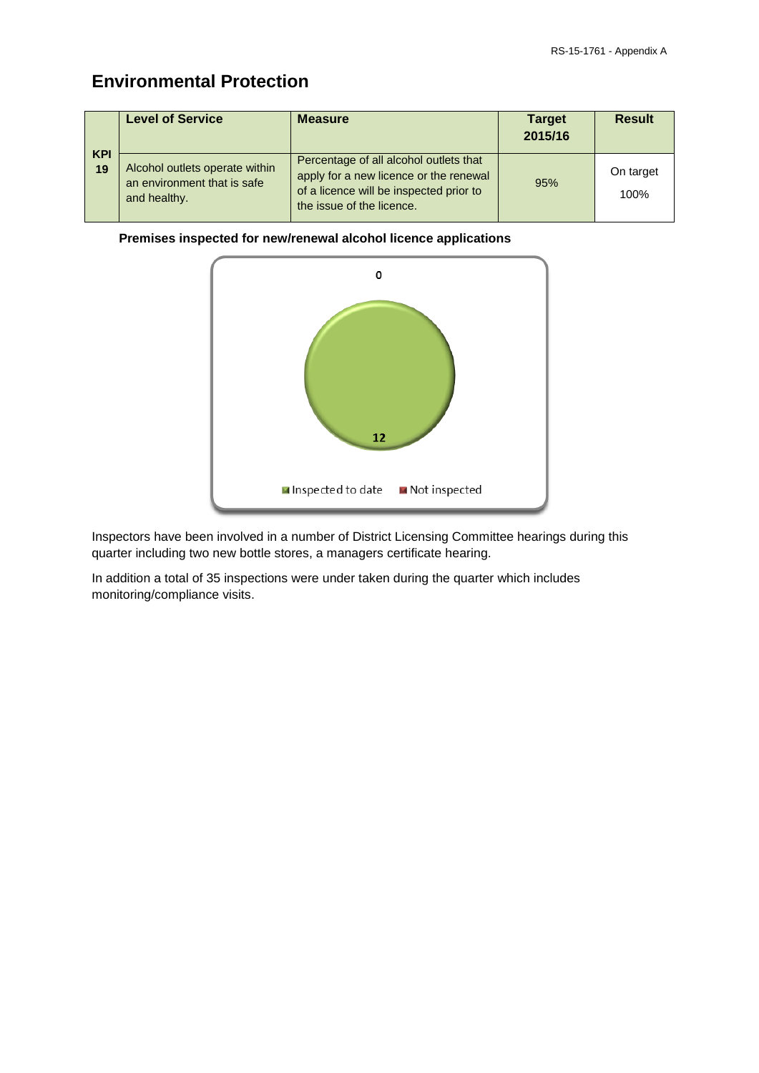# **Environmental Protection**

|                  | <b>Level of Service</b>                                                       | <b>Measure</b>                                                                                                                                           | <b>Target</b><br>2015/16 | <b>Result</b>     |
|------------------|-------------------------------------------------------------------------------|----------------------------------------------------------------------------------------------------------------------------------------------------------|--------------------------|-------------------|
| <b>KPI</b><br>19 | Alcohol outlets operate within<br>an environment that is safe<br>and healthy. | Percentage of all alcohol outlets that<br>apply for a new licence or the renewal<br>of a licence will be inspected prior to<br>the issue of the licence. | 95%                      | On target<br>100% |

### **Premises inspected for new/renewal alcohol licence applications**



Inspectors have been involved in a number of District Licensing Committee hearings during this quarter including two new bottle stores, a managers certificate hearing.

In addition a total of 35 inspections were under taken during the quarter which includes monitoring/compliance visits.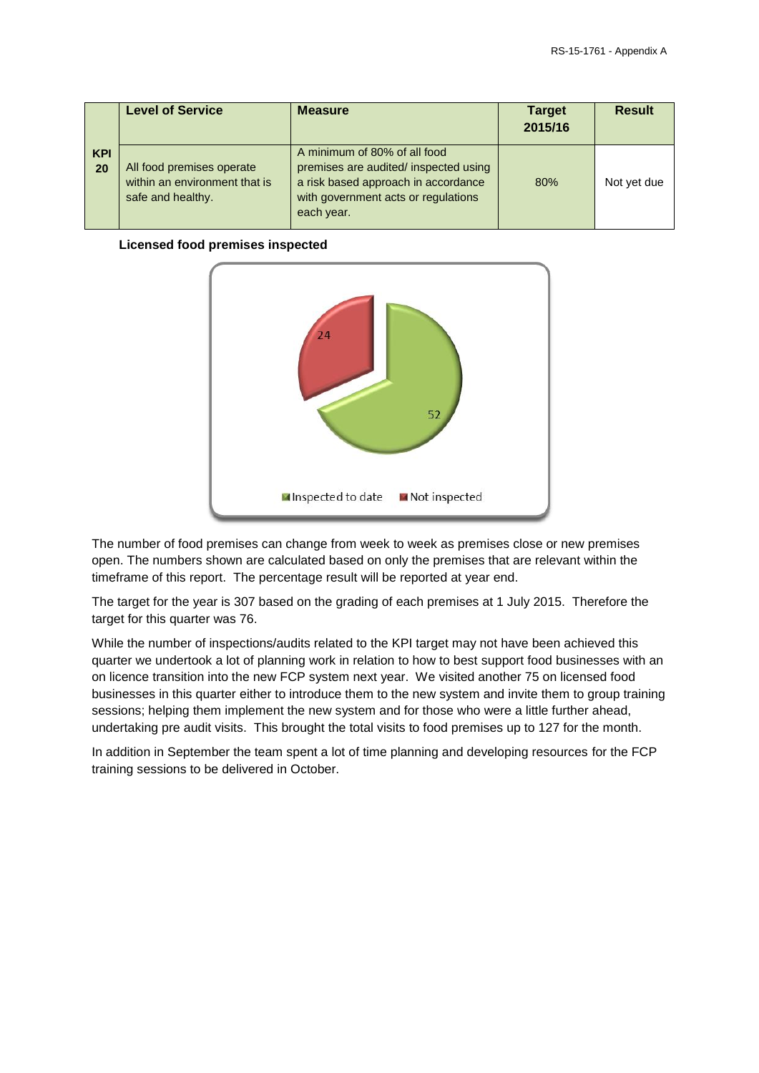|                  | <b>Level of Service</b>                                                         | <b>Measure</b>                                                                                                                                                    | <b>Target</b><br>2015/16 | <b>Result</b> |
|------------------|---------------------------------------------------------------------------------|-------------------------------------------------------------------------------------------------------------------------------------------------------------------|--------------------------|---------------|
| <b>KPI</b><br>20 | All food premises operate<br>within an environment that is<br>safe and healthy. | A minimum of 80% of all food<br>premises are audited/ inspected using<br>a risk based approach in accordance<br>with government acts or regulations<br>each year. | 80%                      | Not yet due   |

### **Licensed food premises inspected**



The number of food premises can change from week to week as premises close or new premises open. The numbers shown are calculated based on only the premises that are relevant within the timeframe of this report. The percentage result will be reported at year end.

The target for the year is 307 based on the grading of each premises at 1 July 2015. Therefore the target for this quarter was 76.

While the number of inspections/audits related to the KPI target may not have been achieved this quarter we undertook a lot of planning work in relation to how to best support food businesses with an on licence transition into the new FCP system next year. We visited another 75 on licensed food businesses in this quarter either to introduce them to the new system and invite them to group training sessions; helping them implement the new system and for those who were a little further ahead, undertaking pre audit visits. This brought the total visits to food premises up to 127 for the month.

In addition in September the team spent a lot of time planning and developing resources for the FCP training sessions to be delivered in October.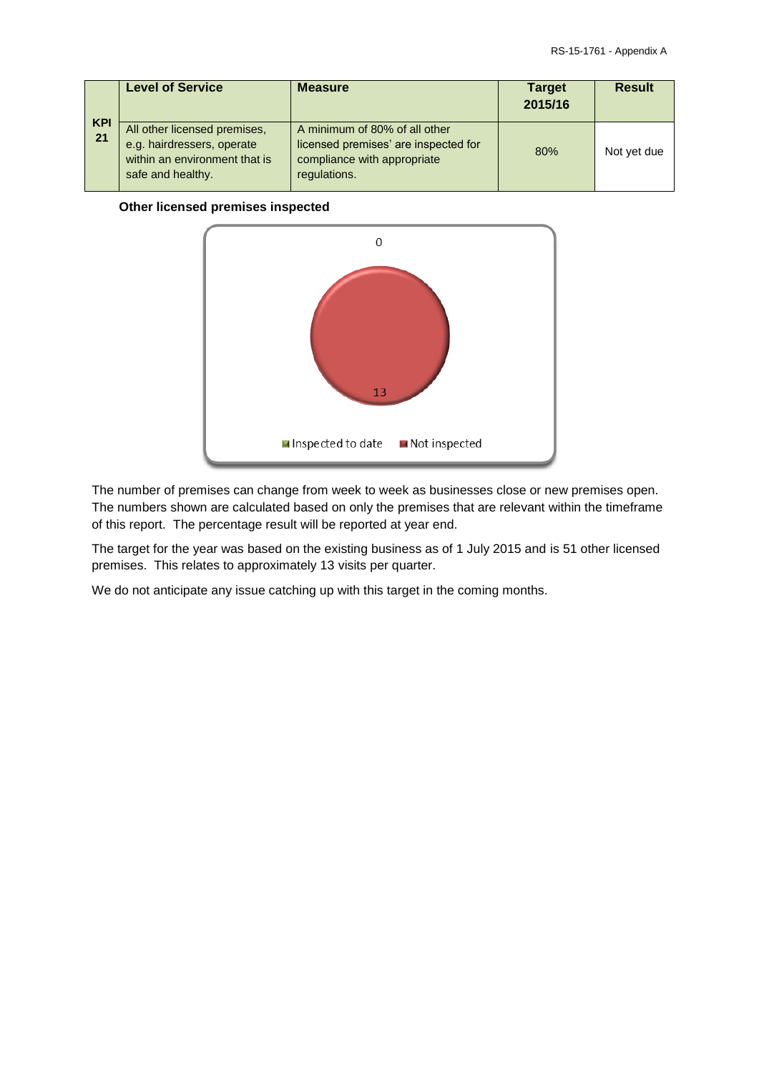| <b>KPI</b><br>21 | <b>Level of Service</b>                                                                                          | <b>Measure</b>                                                                                                       | <b>Target</b><br>2015/16 | <b>Result</b> |
|------------------|------------------------------------------------------------------------------------------------------------------|----------------------------------------------------------------------------------------------------------------------|--------------------------|---------------|
|                  | All other licensed premises,<br>e.g. hairdressers, operate<br>within an environment that is<br>safe and healthy. | A minimum of 80% of all other<br>licensed premises' are inspected for<br>compliance with appropriate<br>regulations. | 80%                      | Not yet due   |

### **Other licensed premises inspected**



The number of premises can change from week to week as businesses close or new premises open. The numbers shown are calculated based on only the premises that are relevant within the timeframe of this report. The percentage result will be reported at year end.

The target for the year was based on the existing business as of 1 July 2015 and is 51 other licensed premises. This relates to approximately 13 visits per quarter.

We do not anticipate any issue catching up with this target in the coming months.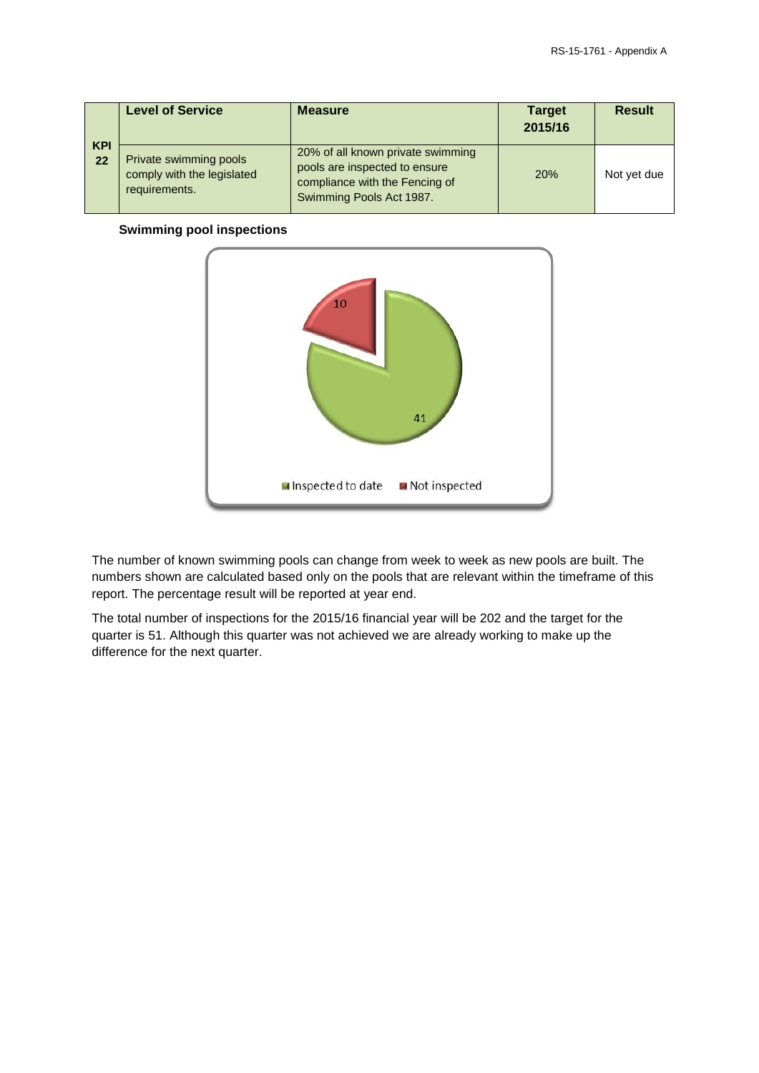| <b>KPI</b><br>22 | <b>Level of Service</b>                                               | <b>Measure</b>                                                                                                                   | <b>Target</b><br>2015/16 | <b>Result</b> |
|------------------|-----------------------------------------------------------------------|----------------------------------------------------------------------------------------------------------------------------------|--------------------------|---------------|
|                  | Private swimming pools<br>comply with the legislated<br>requirements. | 20% of all known private swimming<br>pools are inspected to ensure<br>compliance with the Fencing of<br>Swimming Pools Act 1987. | 20%                      | Not yet due   |

#### **Swimming pool inspections**



The number of known swimming pools can change from week to week as new pools are built. The numbers shown are calculated based only on the pools that are relevant within the timeframe of this report. The percentage result will be reported at year end.

The total number of inspections for the 2015/16 financial year will be 202 and the target for the quarter is 51. Although this quarter was not achieved we are already working to make up the difference for the next quarter.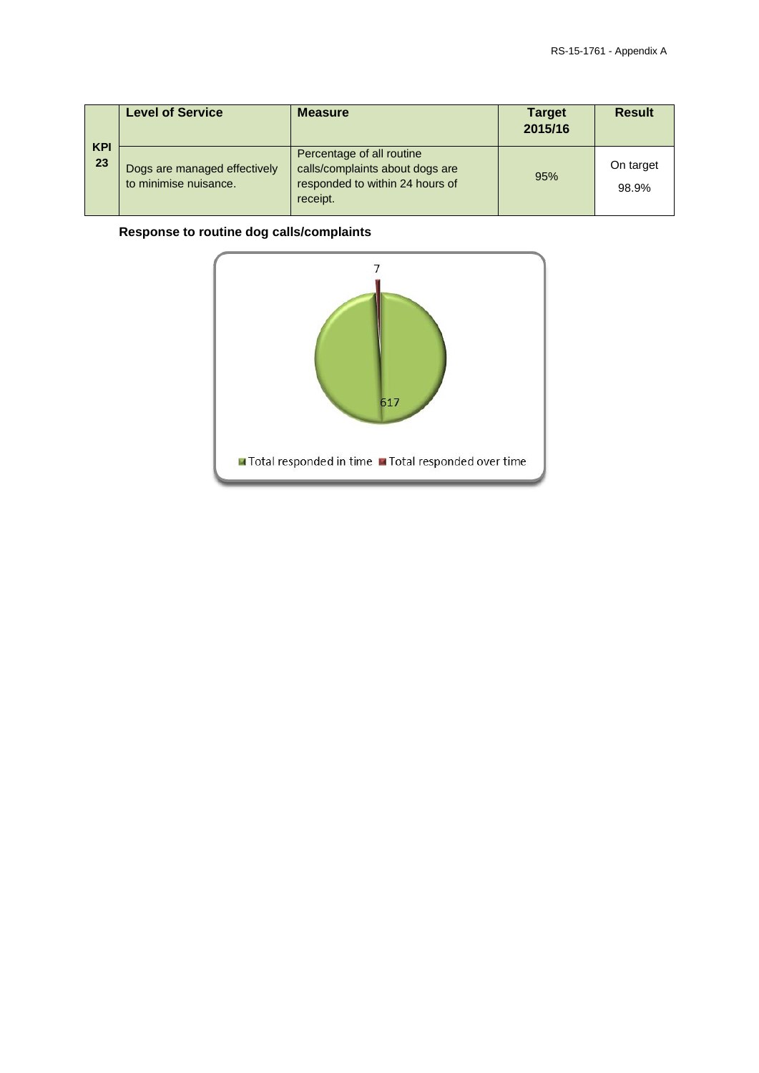| <b>KPI</b><br>23 | <b>Level of Service</b>                               | <b>Measure</b>                                                                                              | <b>Target</b><br>2015/16 | <b>Result</b>      |
|------------------|-------------------------------------------------------|-------------------------------------------------------------------------------------------------------------|--------------------------|--------------------|
|                  | Dogs are managed effectively<br>to minimise nuisance. | Percentage of all routine<br>calls/complaints about dogs are<br>responded to within 24 hours of<br>receipt. | 95%                      | On target<br>98.9% |

## **Response to routine dog calls/complaints**